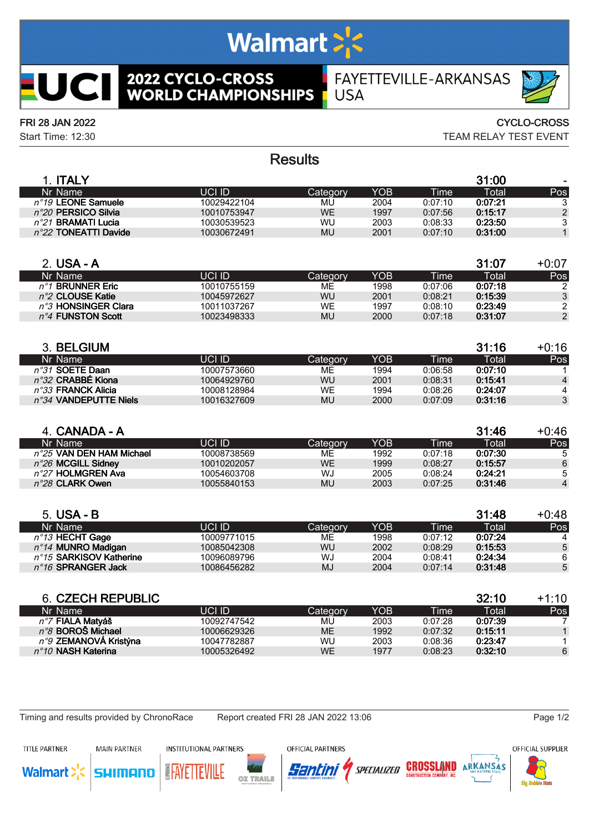# Walmart >'s

**2022 CYCLO-CROSS<br>WORLD CHAMPIONSHIPS** 

## FAYETTEVILLE-ARKANSAS **USA**

**UCII** 

FRI 28 JAN 2022 CYCLO-CROSS

Start Time: 12:30 TEAM RELAY TEST EVENT

## **Results**

| <b>ITALY</b>                   |             |           |      |         | 31:00        | $\overline{\phantom{0}}$ |
|--------------------------------|-------------|-----------|------|---------|--------------|--------------------------|
| Nr Name                        | UCI ID      | Categorv  | YOB  | Time'   | <b>Total</b> | Pos                      |
| $n^{\circ}$ 19 LEONE Samuele   | 10029422104 | MU        | 2004 | 0:07:10 | 0:07:21      | 3                        |
| $n^{\circ}20$ PERSICO Silvia   | 10010753947 | WE        | 1997 | 0:07:56 | 0:15:17      | 2                        |
| $n^{\circ}$ 21 BRAMATI Lucia   | 10030539523 | WU        | 2003 | 0:08:33 | 0:23:50      | 3                        |
| $n^{\circ}$ 22 TONEATTI Davide | 10030672491 | <b>MU</b> | 2001 | 0:07:10 | 0:31:00      |                          |
|                                |             |           |      |         |              |                          |

| 2. USA - A                    |             |          |      |         | 31:07   | $+0:07$ |
|-------------------------------|-------------|----------|------|---------|---------|---------|
| Nr Name                       | UCI ID      | Category | YOB  | Time'   | Total   | Pos     |
| $n^{\circ}$ 1 BRUNNER Fric    | 10010755159 | ME       | 1998 | 0:07:06 | 0:07:18 | 2       |
| n°2 CLOUSE Katie              | 10045972627 | WU       | 2001 | 0:08:21 | 0:15:39 | 3       |
| $n^{\circ}$ 3 HONSINGER Clara | 10011037267 | WE.      | 1997 | 0:08:10 | 0:23:49 | 2       |
| $n^{\circ}$ 4 FUNSTON Scott   | 10023498333 | MU       | 2000 | 0:07:18 | 0:31:07 | 2       |
|                               |             |          |      |         |         |         |

| 3. BELGIUM                     |             |           |      |             | 31:16   | +0:16 |
|--------------------------------|-------------|-----------|------|-------------|---------|-------|
| Nr Name                        | UCI ID      | 'Category | YOB  | <b>Time</b> | Total   | Pos   |
| n°31 SOETE Daan                | 10007573660 | MЕ        | 1994 | 0:06:58     | 0:07:10 |       |
| $n^{\circ}32$ CRABBÉ Kiona     | 10064929760 | WU        | 2001 | 0:08:31     | 0:15:41 | 4     |
| $n^{\circ}33$ FRANCK Alicia    | 10008128984 | WE        | 1994 | 0:08:26     | 0:24:07 | 4     |
| $n^{\circ}34$ VANDEPUTTE Niels | 10016327609 | MU        | 2000 | 0:07:09     | 0:31:16 | 3     |

| 4. CANADA - A                     |             |           |      |         | 31:46   | $+0:46$ |
|-----------------------------------|-------------|-----------|------|---------|---------|---------|
| Nr Name                           | UCLID       | 'Category | YOB  | Time    | Total   | Pos     |
| $n^{\circ}25$ VAN DEN HAM Michael | 10008738569 | MЕ        | 1992 | 0:07:18 | 0:07:30 | -5      |
| $n^{\circ}26$ MCGILL Sidney       | 10010202057 | WE        | 1999 | 0:08:27 | 0:15:57 | 6       |
| n°27 HOLMGREN Ava                 | 10054603708 | WJ        | 2005 | 0:08:24 | 0:24:21 |         |
| $n^{\circ}28$ CLARK Owen          | 10055840153 | <b>MU</b> | 2003 | 0:07:25 | 0:31:46 | 4       |
|                                   |             |           |      |         |         |         |

| 5. USA - B                        |             |          |                  |             | 31:48   | $+0:48$ |
|-----------------------------------|-------------|----------|------------------|-------------|---------|---------|
| Nr Name                           | UCI ID      | Category | YOB <sup>1</sup> | <b>Time</b> | Total   | Pos     |
| $n^{\circ}$ 13 HECHT Gage         | 10009771015 | MЕ       | 1998             | 0:07:12     | 0:07:24 |         |
| $n^{\circ}$ 14 MUNRO Madigan      | 10085042308 | WU       | 2002             | 0:08:29     | 0:15:53 | 5       |
| $n^{\circ}$ 15 SARKISOV Katherine | 10096089796 | WJ       | 2004             | 0:08:41     | 0:24:34 | 6       |
| $n^{\circ}16$ SPRANGER Jack       | 10086456282 | MJ       | 2004             | 0:07:14     | 0:31:48 | 5       |

|             |          |      |             | 32:10   | $+1:10$ |
|-------------|----------|------|-------------|---------|---------|
| UCLID.      | Category | YOB  | <b>Time</b> | Total   | Pos     |
| 10092747542 | MU       | 2003 | 0:07:28     | 0:07:39 |         |
| 10006629326 | ME.      | 1992 | 0:07:32     | 0:15:11 |         |
| 10047782887 | WU       | 2003 | 0:08:36     | 0:23:47 |         |
| 10005326492 | WE.      | 1977 | 0:08:23     | 0:32:10 | 6       |
|             |          |      |             |         |         |

Timing and results provided by ChronoRace Report created FRI 28 JAN 2022 13:06 Page 1/2

TITLE PARTNER

**MAIN PARTNER** 

**INSTITUTIONAL PARTNERS** 

OFFICIAL PARTNERS